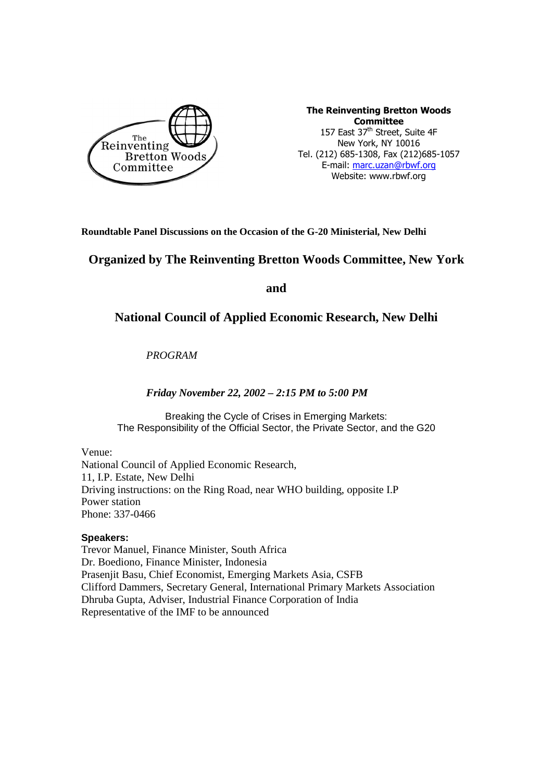

The Reinventing Bretton Woods **Committee** 157 East 37<sup>th</sup> Street, Suite 4F New York, NY 10016 Tel. (212) 685-1308, Fax (212)685-1057 E-mail: marc.uzan@rbwf.org Website: www.rbwf.org

**Roundtable Panel Discussions on the Occasion of the G-20 Ministerial, New Delhi** 

# **Organized by The Reinventing Bretton Woods Committee, New York**

**and** 

## **National Council of Applied Economic Research, New Delhi**

*PROGRAM* 

## *Friday November 22, 2002 – 2:15 PM to 5:00 PM*

Breaking the Cycle of Crises in Emerging Markets: The Responsibility of the Official Sector, the Private Sector, and the G20

### Venue:

National Council of Applied Economic Research, 11, I.P. Estate, New Delhi Driving instructions: on the Ring Road, near WHO building, opposite I.P Power station Phone: 337-0466

### **Speakers:**

Trevor Manuel, Finance Minister, South Africa Dr. Boediono, Finance Minister, Indonesia Prasenjit Basu, Chief Economist, Emerging Markets Asia, CSFB Clifford Dammers, Secretary General, International Primary Markets Association Dhruba Gupta, Adviser, Industrial Finance Corporation of India Representative of the IMF to be announced